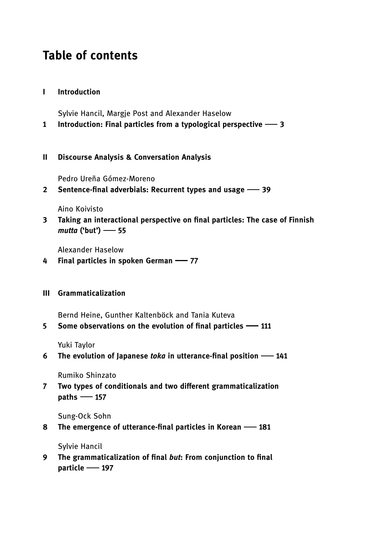# Table of contents

# I Introduction

Sylvie Hancil, Margje Post and Alexander Haselow

1 Introduction: Final particles from a typological perspective - 3

## II Discourse Analysis & Conversation Analysis

Pedro Ureña Gómez-Moreno

2 Sentence-final adverbials: Recurrent types and usage - 39

Aino Koivisto

3 Taking an interactional perspective on final particles: The case of Finnish  $mutta$  ('but')  $-$  55

Alexander Haselow

- 4 Final particles in spoken German 77
- III Grammaticalization

Bernd Heine, Gunther Kaltenböck and Tania Kuteva

5 Some observations on the evolution of final particles  $-111$ 

Yuki Taylor

6 The evolution of Japanese toka in utterance-final position  $-$  141

Rumiko Shinzato

7 Two types of conditionals and two different grammaticalization  $paths$  - 157

Sung-Ock Sohn

8 The emergence of utterance-final particles in Korean - 181

Sylvie Hancil

9 The grammaticalization of final but: From conjunction to final particle - 197